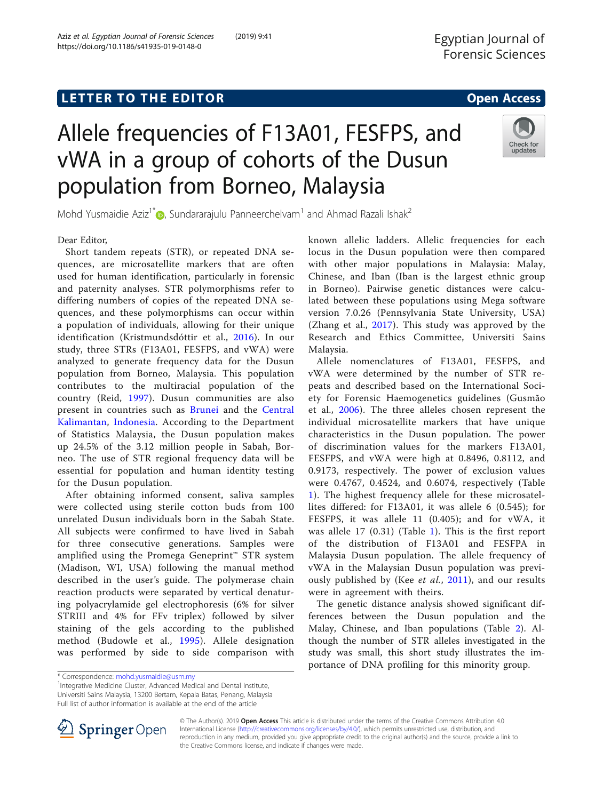https://doi.org/10.1186/s41935-019-0148-0

Aziz et al. Egyptian Journal of Forensic Sciences (2019) 9:41

# Allele frequencies of F13A01, FESFPS, and vWA in a group of cohorts of the Dusun population from Borneo, Malaysia



Mohd Yusmaidie Aziz<sup>1\*</sup> $\bullet$ [,](http://orcid.org/0000-0002-2519-3131) Sundararajulu Panneerchelvam<sup>1</sup> and Ahmad Razali Ishak<sup>2</sup>

### Dear Editor,

Short tandem repeats (STR), or repeated DNA sequences, are microsatellite markers that are often used for human identification, particularly in forensic and paternity analyses. STR polymorphisms refer to differing numbers of copies of the repeated DNA sequences, and these polymorphisms can occur within a population of individuals, allowing for their unique identification (Kristmundsdóttir et al., [2016\)](#page-1-0). In our study, three STRs (F13A01, FESFPS, and vWA) were analyzed to generate frequency data for the Dusun population from Borneo, Malaysia. This population contributes to the multiracial population of the country (Reid, [1997](#page-1-0)). Dusun communities are also present in countries such as [Brunei](https://en.wikipedia.org/wiki/Brunei) and the [Central](https://en.wikipedia.org/wiki/Central_Kalimantan) [Kalimantan,](https://en.wikipedia.org/wiki/Central_Kalimantan) [Indonesia.](https://en.wikipedia.org/wiki/Indonesia) According to the Department of Statistics Malaysia, the Dusun population makes up 24.5% of the 3.12 million people in Sabah, Borneo. The use of STR regional frequency data will be essential for population and human identity testing for the Dusun population.

After obtaining informed consent, saliva samples were collected using sterile cotton buds from 100 unrelated Dusun individuals born in the Sabah State. All subjects were confirmed to have lived in Sabah for three consecutive generations. Samples were amplified using the Promega Geneprint™ STR system (Madison, WI, USA) following the manual method described in the user's guide. The polymerase chain reaction products were separated by vertical denaturing polyacrylamide gel electrophoresis (6% for silver STRIII and 4% for FFv triplex) followed by silver staining of the gels according to the published method (Budowle et al., [1995\)](#page-1-0). Allele designation was performed by side to side comparison with

known allelic ladders. Allelic frequencies for each locus in the Dusun population were then compared with other major populations in Malaysia: Malay, Chinese, and Iban (Iban is the largest ethnic group in Borneo). Pairwise genetic distances were calculated between these populations using Mega software version 7.0.26 (Pennsylvania State University, USA) (Zhang et al., [2017](#page-1-0)). This study was approved by the Research and Ethics Committee, Universiti Sains Malaysia.

Allele nomenclatures of F13A01, FESFPS, and vWA were determined by the number of STR repeats and described based on the International Society for Forensic Haemogenetics guidelines (Gusmão et al., [2006](#page-1-0)). The three alleles chosen represent the individual microsatellite markers that have unique characteristics in the Dusun population. The power of discrimination values for the markers F13A01, FESFPS, and vWA were high at 0.8496, 0.8112, and 0.9173, respectively. The power of exclusion values were 0.4767, 0.4524, and 0.6074, respectively (Table [1\)](#page-1-0). The highest frequency allele for these microsatellites differed: for F13A01, it was allele 6 (0.545); for FESFPS, it was allele 11 (0.405); and for vWA, it was allele 17 (0.31) (Table [1\)](#page-1-0). This is the first report of the distribution of F13A01 and FESFPA in Malaysia Dusun population. The allele frequency of vWA in the Malaysian Dusun population was previ-ously published by (Kee et al., [2011\)](#page-1-0), and our results were in agreement with theirs.

The genetic distance analysis showed significant differences between the Dusun population and the Malay, Chinese, and Iban populations (Table [2](#page-1-0)). Although the number of STR alleles investigated in the study was small, this short study illustrates the importance of DNA profiling for this minority group.

<sup>1</sup>Integrative Medicine Cluster, Advanced Medical and Dental Institute, Universiti Sains Malaysia, 13200 Bertam, Kepala Batas, Penang, Malaysia Full list of author information is available at the end of the article



© The Author(s). 2019 **Open Access** This article is distributed under the terms of the Creative Commons Attribution 4.0 International License ([http://creativecommons.org/licenses/by/4.0/\)](http://creativecommons.org/licenses/by/4.0/), which permits unrestricted use, distribution, and reproduction in any medium, provided you give appropriate credit to the original author(s) and the source, provide a link to the Creative Commons license, and indicate if changes were made.

<sup>\*</sup> Correspondence: [mohd.yusmaidie@usm.my](mailto:mohd.yusmaidie@usm.my) <sup>1</sup>